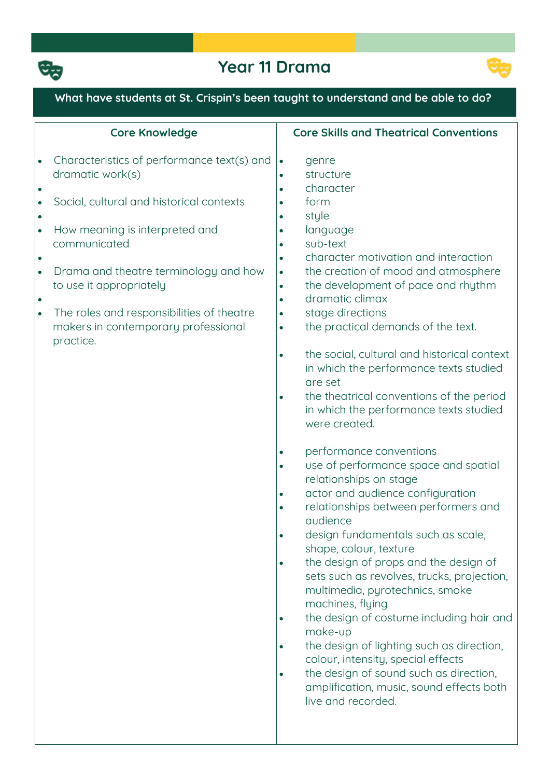

# **Year 11 Drama**



#### **What have students at St. Crispin's been taught to understand and be able to do? Core Knowledge Characteristics of performance text(s) and dramatic work(s)**  $\bullet$  **Social, cultural and historical contexts**  $\bullet$  **How meaning is interpreted and communicated**  $\bullet$  **Drama and theatre terminology and how to use it appropriately**  $\bullet$  **The roles and responsibilities of theatre makers in contemporary professional practice. Core Skills and Theatrical Conventions genre structure character form style language sub-text character motivation and interaction the creation of mood and atmosphere the development of pace and rhythm dramatic climax stage directions the practical demands of the text. the social, cultural and historical context in which the performance texts studied are set the theatrical conventions of the period in which the performance texts studied were created. performance conventions use of performance space and spatial relationships on stage actor and audience configuration relationships between performers and audience design fundamentals such as scale, shape, colour, texture the design of props and the design of sets such as revolves, trucks, projection, multimedia, pyrotechnics, smoke machines, flying the design of costume including hair and make-up the design of lighting such as direction, colour, intensity, special effects the design of sound such as direction, amplification, music, sound effects both live and recorded.**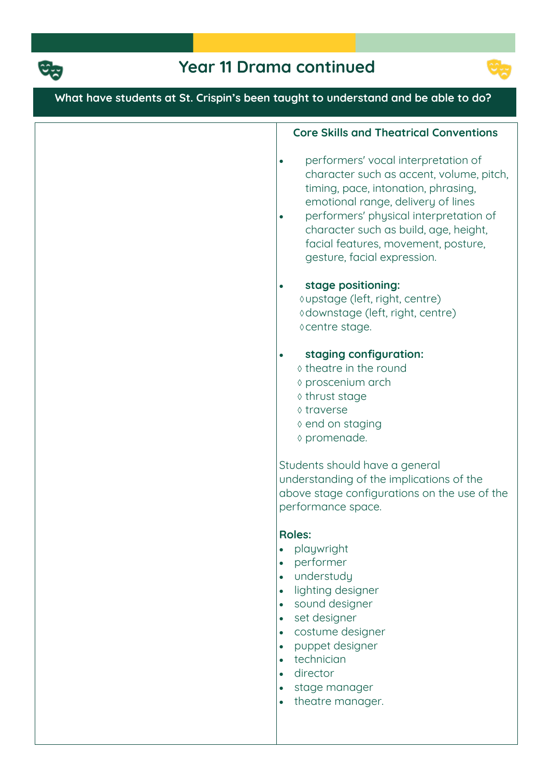



# **What have students at St. Crispin's been taught to understand and be able to do?**

#### **Core Skills and Theatrical Conventions**

- **performers' vocal interpretation of character such as accent, volume, pitch, timing, pace, intonation, phrasing, emotional range, delivery of lines**
- **performers' physical interpretation of character such as build, age, height, facial features, movement, posture, gesture, facial expression.**

#### **stage positioning:**

**upstage (left, right, centre) downstage (left, right, centre) centre stage.**

- **staging configuration:**
	- **theatre in the round**
	- **proscenium arch**
	- **thrust stage**
	- **traverse**
	- **end on staging**
	- **promenade.**

**Students should have a general understanding of the implications of the above stage configurations on the use of the performance space.**

#### **Roles:**

- **playwright**
- **performer**
- **understudy**
- **lighting designer**
- **sound designer**
- **set designer**
- **costume designer**
- **puppet designer**
- **technician**
- **director**
- **stage manager**
- **theatre manager.**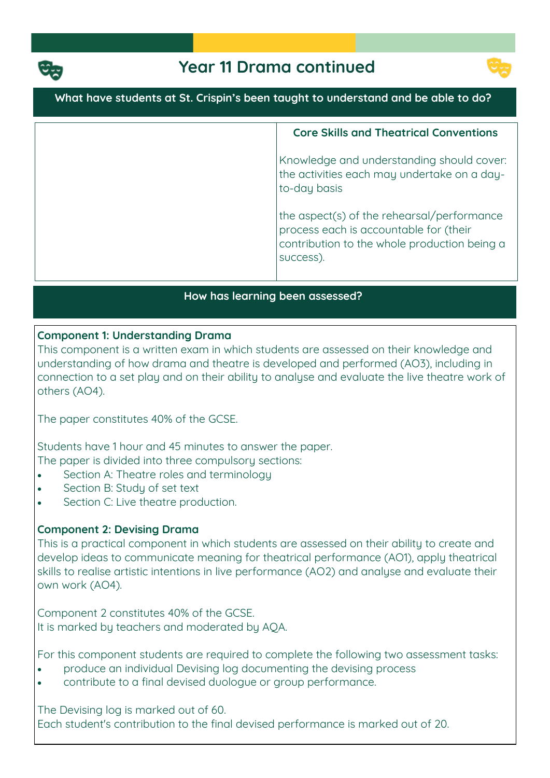



**What have students at St. Crispin's been taught to understand and be able to do?**

**Core Skills and Theatrical Conventions Knowledge and understanding should cover: the activities each may undertake on a dayto-day basis the aspect(s) of the rehearsal/performance process each is accountable for (their contribution to the whole production being a success).**

### **How has learning been assessed?**

# **Component 1: Understanding Drama**

**This component is a written exam in which students are assessed on their knowledge and understanding of how drama and theatre is developed and performed (AO3), including in connection to a set play and on their ability to analyse and evaluate the live theatre work of others (AO4).**

**The paper constitutes 40% of the GCSE.**

**Students have 1 hour and 45 minutes to answer the paper. The paper is divided into three compulsory sections:**

- **Section A: Theatre roles and terminology**
- **Section B: Study of set text**
- **Section C: Live theatre production.**

# **Component 2: Devising Drama**

**This is a practical component in which students are assessed on their ability to create and develop ideas to communicate meaning for theatrical performance (AO1), apply theatrical skills to realise artistic intentions in live performance (AO2) and analyse and evaluate their own work (AO4).**

**Component 2 constitutes 40% of the GCSE. It is marked by teachers and moderated by AQA.**

**For this component students are required to complete the following two assessment tasks:**

- **produce an individual Devising log documenting the devising process**
- **contribute to a final devised duologue or group performance.**

**The Devising log is marked out of 60. Each student's contribution to the final devised performance is marked out of 20.**